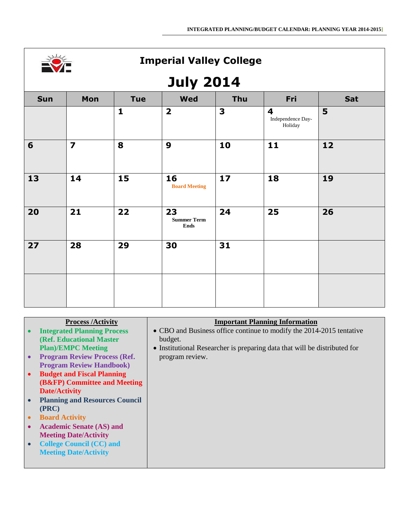

# **July 2014**

|     | $- -$                   |              |                                         |                         |                                                         |     |
|-----|-------------------------|--------------|-----------------------------------------|-------------------------|---------------------------------------------------------|-----|
| Sun | Mon                     | <b>Tue</b>   | <b>Wed</b>                              | Thu                     | Fri                                                     | Sat |
|     |                         | $\mathbf{1}$ | $\overline{\mathbf{2}}$                 | $\overline{\mathbf{3}}$ | $\overline{\mathbf{4}}$<br>Independence Day-<br>Holiday | 5   |
| 6   | $\overline{\mathbf{z}}$ | 8            | $\boldsymbol{9}$                        | 10                      | 11                                                      | 12  |
| 13  | 14                      | 15           | 16<br><b>Board Meeting</b>              | 17                      | 18                                                      | 19  |
| 20  | 21                      | 22           | 23<br><b>Summer Term</b><br><b>Ends</b> | 24                      | 25                                                      | 26  |
| 27  | 28                      | 29           | 30                                      | 31                      |                                                         |     |
|     |                         |              |                                         |                         |                                                         |     |

|           | <b>Process /Activity</b>              | <b>Important Planning Information</b>                                     |
|-----------|---------------------------------------|---------------------------------------------------------------------------|
|           | <b>Integrated Planning Process</b>    | • CBO and Business office continue to modify the 2014-2015 tentative      |
|           | (Ref. Educational Master              | budget.                                                                   |
|           | <b>Plan)/EMPC Meeting</b>             | • Institutional Researcher is preparing data that will be distributed for |
| $\bullet$ | <b>Program Review Process (Ref.</b>   | program review.                                                           |
|           | <b>Program Review Handbook)</b>       |                                                                           |
| $\bullet$ | <b>Budget and Fiscal Planning</b>     |                                                                           |
|           | (B&FP) Committee and Meeting          |                                                                           |
|           | <b>Date/Activity</b>                  |                                                                           |
|           | <b>Planning and Resources Council</b> |                                                                           |
|           | (PRC)                                 |                                                                           |
| $\bullet$ | <b>Board Activity</b>                 |                                                                           |
|           | <b>Academic Senate (AS) and</b>       |                                                                           |
|           | <b>Meeting Date/Activity</b>          |                                                                           |
|           | <b>College Council (CC) and</b>       |                                                                           |
|           | <b>Meeting Date/Activity</b>          |                                                                           |
|           |                                       |                                                                           |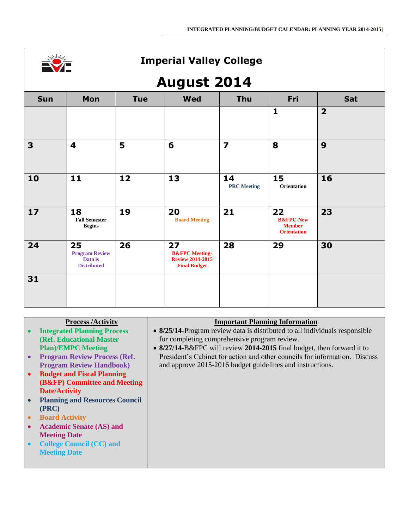

#### **August 2014**

|            |                                                              |            | ---                                                                               |                          |                                                                   |                         |
|------------|--------------------------------------------------------------|------------|-----------------------------------------------------------------------------------|--------------------------|-------------------------------------------------------------------|-------------------------|
| <b>Sun</b> | Mon                                                          | <b>Tue</b> | <b>Wed</b>                                                                        | Thu                      | Fri                                                               | Sat                     |
|            |                                                              |            |                                                                                   |                          | $\mathbf{1}$                                                      | $\overline{\mathbf{2}}$ |
| 3          | 4                                                            | 5          | 6                                                                                 | $\overline{\mathbf{z}}$  | 8                                                                 | 9                       |
| 10         | 11                                                           | 12         | 13                                                                                | 14<br><b>PRC</b> Meeting | 15<br>Orientation                                                 | 16                      |
| 17         | 18<br><b>Fall Semester</b><br><b>Begins</b>                  | 19         | 20<br><b>Board Meeting</b>                                                        | 21                       | 22<br><b>B&amp;FPC-New</b><br><b>Member</b><br><b>Orientation</b> | 23                      |
| 24         | 25<br><b>Program Review</b><br>Data is<br><b>Distributed</b> | 26         | 27<br><b>B&amp;FPC</b> Meeting-<br><b>Review 2014-2015</b><br><b>Final Budget</b> | 28                       | 29                                                                | 30                      |
| 31         |                                                              |            |                                                                                   |                          |                                                                   |                         |

| <b>Process /Activity</b>              | <b>Important Planning Information</b>                                       |
|---------------------------------------|-----------------------------------------------------------------------------|
| <b>Integrated Planning Process</b>    | • 8/25/14-Program review data is distributed to all individuals responsible |
| (Ref. Educational Master              | for completing comprehensive program review.                                |
| <b>Plan</b> )/ <b>EMPC</b> Meeting    | • 8/27/14-B&FPC will review 2014-2015 final budget, then forward it to      |
| <b>Program Review Process (Ref.</b>   | President's Cabinet for action and other councils for information. Discuss  |
| <b>Program Review Handbook)</b>       | and approve 2015-2016 budget guidelines and instructions.                   |
| <b>Budget and Fiscal Planning</b>     |                                                                             |
| (B&FP) Committee and Meeting          |                                                                             |
| <b>Date/Activity</b>                  |                                                                             |
| <b>Planning and Resources Council</b> |                                                                             |
| (PRC)                                 |                                                                             |
| <b>Board Activity</b>                 |                                                                             |
| <b>Academic Senate (AS) and</b>       |                                                                             |
| <b>Meeting Date</b>                   |                                                                             |
| <b>College Council (CC) and</b>       |                                                                             |
| <b>Meeting Date</b>                   |                                                                             |
|                                       |                                                                             |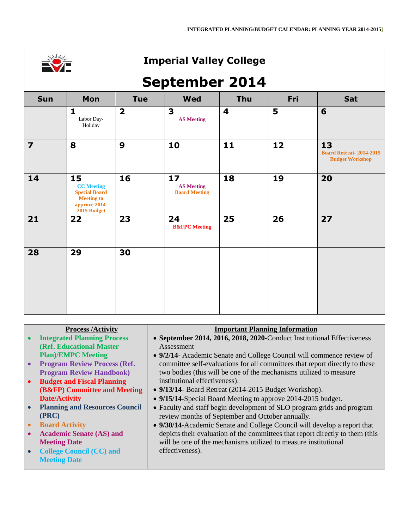

## **September 2014**

|                         | ш                                                                                                    |                         |                                                 |                         |     |                                                                |
|-------------------------|------------------------------------------------------------------------------------------------------|-------------------------|-------------------------------------------------|-------------------------|-----|----------------------------------------------------------------|
| <b>Sun</b>              | Mon                                                                                                  | <b>Tue</b>              | <b>Wed</b>                                      | <b>Thu</b>              | Fri | Sat                                                            |
|                         | $\mathbf{1}$<br>Labor Day-<br>Holiday                                                                | $\overline{\mathbf{2}}$ | $\mathbf{3}$<br><b>AS Meeting</b>               | $\overline{\mathbf{4}}$ | 5   | 6                                                              |
| $\overline{\mathbf{z}}$ | 8                                                                                                    | 9                       | 10                                              | 11                      | 12  | 13<br><b>Board Retreat-2014-2015</b><br><b>Budget Workshop</b> |
| 14                      | 15<br><b>CC</b> Meeting<br><b>Special Board</b><br><b>Meeting to</b><br>approve 2014-<br>2015 Budget | 16                      | 17<br><b>AS Meeting</b><br><b>Board Meeting</b> | 18                      | 19  | 20                                                             |
| 21                      | 22                                                                                                   | 23                      | 24<br><b>B&amp;FPC</b> Meeting                  | 25                      | 26  | 27                                                             |
| 28                      | 29                                                                                                   | 30                      |                                                 |                         |     |                                                                |
|                         |                                                                                                      |                         |                                                 |                         |     |                                                                |

|           | <b>Process /Activity</b>              | <b>Important Planning Information</b>                                         |
|-----------|---------------------------------------|-------------------------------------------------------------------------------|
|           | <b>Integrated Planning Process</b>    | • September 2014, 2016, 2018, 2020-Conduct Institutional Effectiveness        |
|           | (Ref. Educational Master              | Assessment                                                                    |
|           | <b>Plan)/EMPC Meeting</b>             | • 9/2/14- Academic Senate and College Council will commence review of         |
|           | <b>Program Review Process (Ref.</b>   | committee self-evaluations for all committees that report directly to these   |
|           | <b>Program Review Handbook)</b>       | two bodies (this will be one of the mechanisms utilized to measure            |
| $\bullet$ | <b>Budget and Fiscal Planning</b>     | institutional effectiveness).                                                 |
|           | (B&FP) Committee and Meeting          | • 9/13/14- Board Retreat (2014-2015 Budget Workshop).                         |
|           | <b>Date/Activity</b>                  | • 9/15/14-Special Board Meeting to approve 2014-2015 budget.                  |
|           | <b>Planning and Resources Council</b> | • Faculty and staff begin development of SLO program grids and program        |
|           | (PRC)                                 | review months of September and October annually.                              |
|           | <b>Board Activity</b>                 | • 9/30/14-Academic Senate and College Council will develop a report that      |
| $\bullet$ | <b>Academic Senate (AS) and</b>       | depicts their evaluation of the committees that report directly to them (this |
|           | <b>Meeting Date</b>                   | will be one of the mechanisms utilized to measure institutional               |
|           | <b>College Council (CC) and</b>       | effectiveness).                                                               |
|           | <b>Meeting Date</b>                   |                                                                               |
|           |                                       |                                                                               |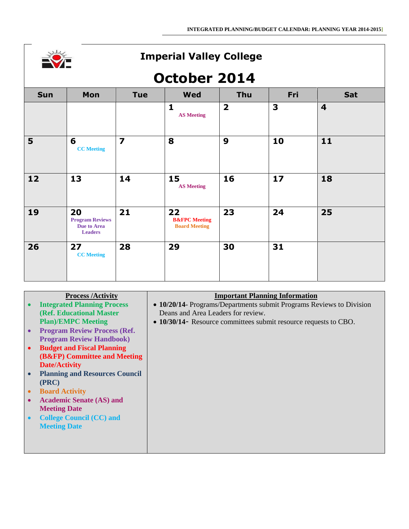|  | ÷ |  |
|--|---|--|
|  |   |  |
|  |   |  |
|  |   |  |

#### **October 2014**

|                |                                                               |                |                                                        | - -                     |     |                         |
|----------------|---------------------------------------------------------------|----------------|--------------------------------------------------------|-------------------------|-----|-------------------------|
| <b>Sun</b>     | Mon                                                           | <b>Tue</b>     | <b>Wed</b>                                             | Thu                     | Fri | Sat                     |
|                |                                                               |                | $\mathbf{1}$<br><b>AS Meeting</b>                      | $\overline{\mathbf{2}}$ | 3   | $\overline{\mathbf{4}}$ |
| 5 <sup>5</sup> | 6<br><b>CC</b> Meeting                                        | $\overline{z}$ | 8                                                      | $\boldsymbol{9}$        | 10  | 11                      |
| $12$           | 13                                                            | 14             | 15<br><b>AS Meeting</b>                                | 16                      | 17  | 18                      |
| 19             | 20<br><b>Program Reviews</b><br>Due to Area<br><b>Leaders</b> | 21             | 22<br><b>B&amp;FPC</b> Meeting<br><b>Board Meeting</b> | 23                      | 24  | 25                      |
| 26             | 27<br><b>CC</b> Meeting                                       | 28             | 29                                                     | 30                      | 31  |                         |

#### **Process /Activity**

- **Integrated Planning Process (Ref. Educational Master Plan)/EMPC Meeting**
- **Program Review Process (Ref. Program Review Handbook)**
- **Budget and Fiscal Planning (B&FP) Committee and Meeting Date/Activity**
- **Planning and Resources Council (PRC)**
- **Board Activity**
- **Academic Senate (AS) and Meeting Date**
- **College Council (CC) and Meeting Date**

#### **Important Planning Information**

- **10/20/14** Programs/Departments submit Programs Reviews to Division Deans and Area Leaders for review.
- **10/30/14** Resource committees submit resource requests to CBO.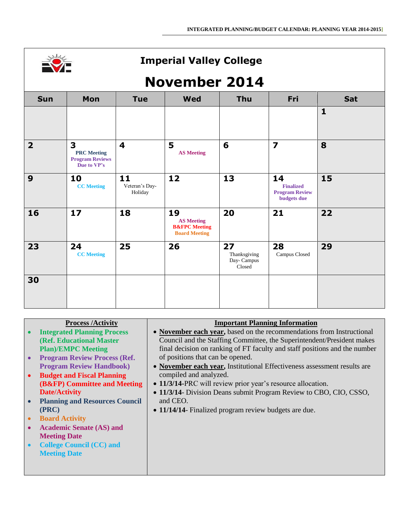

# **November 2014**

| <b>Sun</b>              | Mon                                                              | <b>Tue</b>                      | <b>Wed</b>                                                                  | <b>Thu</b>                                 | Fri                                                            | Sat          |
|-------------------------|------------------------------------------------------------------|---------------------------------|-----------------------------------------------------------------------------|--------------------------------------------|----------------------------------------------------------------|--------------|
|                         |                                                                  |                                 |                                                                             |                                            |                                                                | $\mathbf{1}$ |
| $\overline{\mathbf{2}}$ | 3<br><b>PRC</b> Meeting<br><b>Program Reviews</b><br>Due to VP's | $\overline{\mathbf{4}}$         | 5<br><b>AS Meeting</b>                                                      | 6                                          | $\overline{\mathbf{z}}$                                        | 8            |
| 9                       | 10<br><b>CC</b> Meeting                                          | 11<br>Veteran's Day-<br>Holiday | 12                                                                          | 13                                         | 14<br><b>Finalized</b><br><b>Program Review</b><br>budgets due | 15           |
| 16                      | 17                                                               | 18                              | 19<br><b>AS Meeting</b><br><b>B&amp;FPC</b> Meeting<br><b>Board Meeting</b> | 20                                         | 21                                                             | 22           |
| 23                      | 24<br><b>CC</b> Meeting                                          | 25                              | 26                                                                          | 27<br>Thanksgiving<br>Day-Campus<br>Closed | 28<br>Campus Closed                                            | 29           |
| 30                      |                                                                  |                                 |                                                                             |                                            |                                                                |              |

| <b>Process /Activity</b>              | <b>Important Planning Information</b>                                      |
|---------------------------------------|----------------------------------------------------------------------------|
| <b>Integrated Planning Process</b>    | • November each year, based on the recommendations from Instructional      |
| (Ref. Educational Master              | Council and the Staffing Committee, the Superintendent/President makes     |
| <b>Plan)/EMPC Meeting</b>             | final decision on ranking of FT faculty and staff positions and the number |
| <b>Program Review Process (Ref.</b>   | of positions that can be opened.                                           |
| <b>Program Review Handbook)</b>       | • November each year, Institutional Effectiveness assessment results are   |
| <b>Budget and Fiscal Planning</b>     | compiled and analyzed.                                                     |
| (B&FP) Committee and Meeting          | • 11/3/14-PRC will review prior year's resource allocation.                |
| <b>Date/Activity</b>                  | • 11/3/14- Division Deans submit Program Review to CBO, CIO, CSSO,         |
| <b>Planning and Resources Council</b> | and CEO.                                                                   |
| (PRC)                                 | • 11/14/14- Finalized program review budgets are due.                      |
| <b>Board Activity</b>                 |                                                                            |
| <b>Academic Senate (AS) and</b>       |                                                                            |
| <b>Meeting Date</b>                   |                                                                            |
| <b>College Council (CC) and</b>       |                                                                            |
| <b>Meeting Date</b>                   |                                                                            |
|                                       |                                                                            |
|                                       |                                                                            |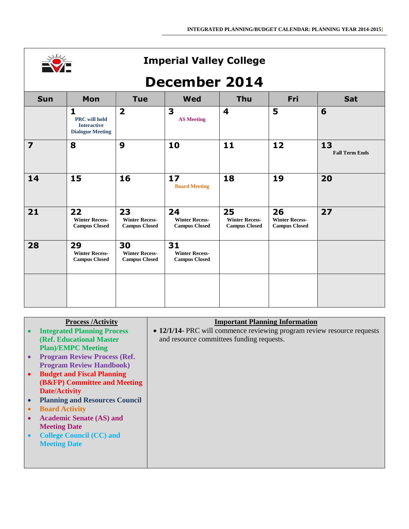

# **December 2014**

| <b>Sun</b>              | Mon                                                                                   | <b>Tue</b>                                          | <b>Wed</b>                                          | <b>Thu</b>                                          | Fri                                                 | Sat                         |
|-------------------------|---------------------------------------------------------------------------------------|-----------------------------------------------------|-----------------------------------------------------|-----------------------------------------------------|-----------------------------------------------------|-----------------------------|
|                         | $\mathbf{1}$<br><b>PRC</b> will hold<br><b>Interactive</b><br><b>Dialogue Meeting</b> | $\overline{\mathbf{2}}$                             | 3<br><b>AS Meeting</b>                              | $\overline{\mathbf{4}}$                             | 5                                                   | 6                           |
| $\overline{\mathbf{z}}$ | 8                                                                                     | 9                                                   | 10                                                  | 11                                                  | 12                                                  | 13<br><b>Fall Term Ends</b> |
| 14                      | 15                                                                                    | 16                                                  | 17<br><b>Board Meeting</b>                          | 18                                                  | 19                                                  | 20                          |
| 21                      | 22<br><b>Winter Recess-</b><br><b>Campus Closed</b>                                   | 23<br><b>Winter Recess-</b><br><b>Campus Closed</b> | 24<br><b>Winter Recess-</b><br><b>Campus Closed</b> | 25<br><b>Winter Recess-</b><br><b>Campus Closed</b> | 26<br><b>Winter Recess-</b><br><b>Campus Closed</b> | 27                          |
| 28                      | 29<br><b>Winter Recess-</b><br><b>Campus Closed</b>                                   | 30<br><b>Winter Recess-</b><br><b>Campus Closed</b> | 31<br><b>Winter Recess-</b><br><b>Campus Closed</b> |                                                     |                                                     |                             |
|                         |                                                                                       |                                                     |                                                     |                                                     |                                                     |                             |

| <b>Process /Activity</b>                | <b>Important Planning Information</b>                                   |
|-----------------------------------------|-------------------------------------------------------------------------|
| <b>Integrated Planning Process</b>      | • 12/1/14- PRC will commence reviewing program review resource requests |
| (Ref. Educational Master                | and resource committees funding requests.                               |
| <b>Plan</b> )/EMPC Meeting              |                                                                         |
| <b>Program Review Process (Ref.</b>     |                                                                         |
| <b>Program Review Handbook)</b>         |                                                                         |
| <b>Budget and Fiscal Planning</b>       |                                                                         |
| <b>(B&amp;FP)</b> Committee and Meeting |                                                                         |
| <b>Date/Activity</b>                    |                                                                         |
| <b>Planning and Resources Council</b>   |                                                                         |
| <b>Board Activity</b>                   |                                                                         |
| <b>Academic Senate (AS) and</b>         |                                                                         |
| <b>Meeting Date</b>                     |                                                                         |
| <b>College Council (CC) and</b>         |                                                                         |
| <b>Meeting Date</b>                     |                                                                         |
|                                         |                                                                         |
|                                         |                                                                         |
|                                         |                                                                         |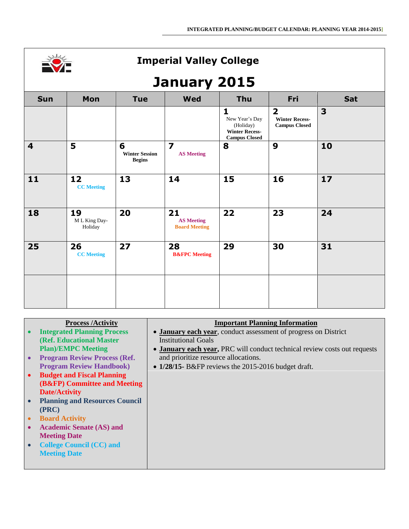

## **January 2015**

|                         |                                |                                             | z                                               |                                                                                              |                                                                          |                         |
|-------------------------|--------------------------------|---------------------------------------------|-------------------------------------------------|----------------------------------------------------------------------------------------------|--------------------------------------------------------------------------|-------------------------|
| <b>Sun</b>              | Mon                            | <b>Tue</b>                                  | <b>Wed</b>                                      | <b>Thu</b>                                                                                   | Fri                                                                      | Sat                     |
|                         |                                |                                             |                                                 | $\mathbf{1}$<br>New Year's Day<br>(Holiday)<br><b>Winter Recess-</b><br><b>Campus Closed</b> | $\overline{\mathbf{2}}$<br><b>Winter Recess-</b><br><b>Campus Closed</b> | $\overline{\mathbf{3}}$ |
| $\overline{\mathbf{4}}$ | 5                              | 6<br><b>Winter Session</b><br><b>Begins</b> | $\overline{\mathbf{z}}$<br><b>AS Meeting</b>    | 8                                                                                            | 9                                                                        | 10                      |
| 11                      | 12<br><b>CC</b> Meeting        | 13                                          | 14                                              | 15                                                                                           | 16                                                                       | 17                      |
| 18                      | 19<br>M L King Day-<br>Holiday | 20                                          | 21<br><b>AS Meeting</b><br><b>Board Meeting</b> | 22                                                                                           | 23                                                                       | 24                      |
| 25                      | 26<br><b>CC</b> Meeting        | 27                                          | 28<br><b>B&amp;FPC</b> Meeting                  | 29                                                                                           | 30                                                                       | 31                      |
|                         |                                |                                             |                                                 |                                                                                              |                                                                          |                         |

|           | <b>Process /Activity</b>              | <b>Important Planning Information</b>                                     |
|-----------|---------------------------------------|---------------------------------------------------------------------------|
|           | <b>Integrated Planning Process</b>    | • January each year, conduct assessment of progress on District           |
|           | (Ref. Educational Master              | <b>Institutional Goals</b>                                                |
|           | <b>Plan)/EMPC Meeting</b>             | • January each year, PRC will conduct technical review costs out requests |
| $\bullet$ | <b>Program Review Process (Ref.</b>   | and prioritize resource allocations.                                      |
|           | <b>Program Review Handbook)</b>       | • $1/28/15$ - B&FP reviews the 2015-2016 budget draft.                    |
| $\bullet$ | <b>Budget and Fiscal Planning</b>     |                                                                           |
|           | (B&FP) Committee and Meeting          |                                                                           |
|           | <b>Date/Activity</b>                  |                                                                           |
|           | <b>Planning and Resources Council</b> |                                                                           |
|           | (PRC)                                 |                                                                           |
| $\bullet$ | <b>Board Activity</b>                 |                                                                           |
| $\bullet$ | <b>Academic Senate (AS) and</b>       |                                                                           |
|           | <b>Meeting Date</b>                   |                                                                           |
|           | <b>College Council (CC) and</b>       |                                                                           |
|           | <b>Meeting Date</b>                   |                                                                           |
|           |                                       |                                                                           |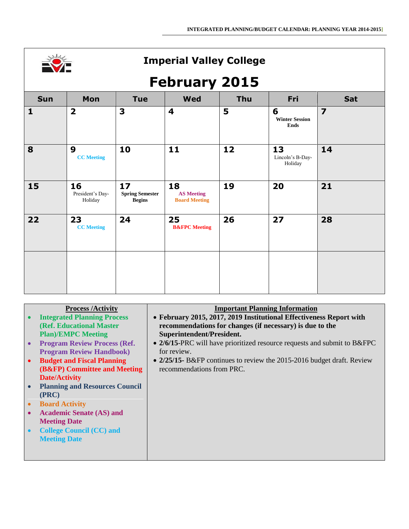

# **February 2015**

|              |                                       |                                               | $\overline{\phantom{a}}$<br>,                   |     |                                           |                         |
|--------------|---------------------------------------|-----------------------------------------------|-------------------------------------------------|-----|-------------------------------------------|-------------------------|
| <b>Sun</b>   | Mon                                   | <b>Tue</b>                                    | <b>Wed</b>                                      | Thu | Fri                                       | Sat                     |
| $\mathbf{1}$ | $\overline{\mathbf{2}}$               | 3                                             | $\overline{\mathbf{4}}$                         | 5   | 6<br><b>Winter Session</b><br><b>Ends</b> | $\overline{\mathbf{z}}$ |
| 8            | $\boldsymbol{9}$<br><b>CC</b> Meeting | 10                                            | 11                                              | 12  | 13<br>Lincoln's B-Day-<br>Holiday         | 14                      |
| 15           | 16<br>President's Day-<br>Holiday     | 17<br><b>Spring Semester</b><br><b>Begins</b> | 18<br><b>AS Meeting</b><br><b>Board Meeting</b> | 19  | 20                                        | 21                      |
| 22           | 23<br><b>CC</b> Meeting               | 24                                            | 25<br><b>B&amp;FPC</b> Meeting                  | 26  | 27                                        | 28                      |
|              |                                       |                                               |                                                 |     |                                           |                         |

|           | <b>Process /Activity</b>              | <b>Important Planning Information</b>                                    |
|-----------|---------------------------------------|--------------------------------------------------------------------------|
|           | <b>Integrated Planning Process</b>    | • February 2015, 2017, 2019 Institutional Effectiveness Report with      |
|           | (Ref. Educational Master              | recommendations for changes (if necessary) is due to the                 |
|           | <b>Plan)/EMPC Meeting</b>             | Superintendent/President.                                                |
| $\bullet$ | <b>Program Review Process (Ref.</b>   | • 2/6/15-PRC will have prioritized resource requests and submit to B&FPC |
|           | <b>Program Review Handbook)</b>       | for review.                                                              |
| $\bullet$ | <b>Budget and Fiscal Planning</b>     | • 2/25/15 B&FP continues to review the 2015-2016 budget draft. Review    |
|           | (B&FP) Committee and Meeting          | recommendations from PRC.                                                |
|           | <b>Date/Activity</b>                  |                                                                          |
|           | <b>Planning and Resources Council</b> |                                                                          |
|           | (PRC)                                 |                                                                          |
| $\bullet$ | <b>Board Activity</b>                 |                                                                          |
| $\bullet$ | <b>Academic Senate (AS) and</b>       |                                                                          |
|           | <b>Meeting Date</b>                   |                                                                          |
|           | <b>College Council (CC) and</b>       |                                                                          |
|           |                                       |                                                                          |
|           |                                       |                                                                          |
|           |                                       |                                                                          |
|           | <b>Meeting Date</b>                   |                                                                          |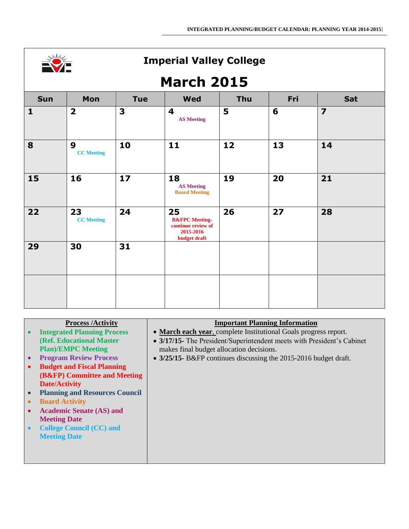

# **March 2015**

| <b>Sun</b>   | Mon                                   | <b>Tue</b>              | <b>Wed</b>                                                                                | Thu | Fri | Sat                     |
|--------------|---------------------------------------|-------------------------|-------------------------------------------------------------------------------------------|-----|-----|-------------------------|
| $\mathbf{1}$ | $\overline{\mathbf{2}}$               | $\overline{\mathbf{3}}$ | $\overline{\mathbf{4}}$<br><b>AS Meeting</b>                                              | 5   | 6   | $\overline{\mathbf{z}}$ |
| 8            | $\boldsymbol{9}$<br><b>CC</b> Meeting | 10                      | 11                                                                                        | 12  | 13  | 14                      |
| 15           | 16                                    | 17                      | 18<br><b>AS Meeting</b><br><b>Board Meeting</b>                                           | 19  | 20  | 21                      |
| 22           | 23<br><b>CC</b> Meeting               | 24                      | 25<br><b>B&amp;FPC</b> Meeting-<br>continue review of<br>2015-2016<br><b>budget draft</b> | 26  | 27  | 28                      |
| 29           | 30                                    | 31                      |                                                                                           |     |     |                         |
|              |                                       |                         |                                                                                           |     |     |                         |

| <b>Process /Activity</b>              | <b>Important Planning Information</b>                                  |
|---------------------------------------|------------------------------------------------------------------------|
| <b>Integrated Planning Process</b>    | • March each year, complete Institutional Goals progress report.       |
| (Ref. Educational Master)             | • 3/17/15- The President/Superintendent meets with President's Cabinet |
| <b>Plan)/EMPC Meeting</b>             | makes final budget allocation decisions.                               |
| <b>Program Review Process</b>         | • 3/25/15- B&FP continues discussing the 2015-2016 budget draft.       |
| <b>Budget and Fiscal Planning</b>     |                                                                        |
| (B&FP) Committee and Meeting          |                                                                        |
| <b>Date/Activity</b>                  |                                                                        |
| <b>Planning and Resources Council</b> |                                                                        |
| <b>Board Activity</b>                 |                                                                        |
| <b>Academic Senate (AS) and</b>       |                                                                        |
| <b>Meeting Date</b>                   |                                                                        |
| <b>College Council (CC) and</b>       |                                                                        |
| <b>Meeting Date</b>                   |                                                                        |
|                                       |                                                                        |
|                                       |                                                                        |
|                                       |                                                                        |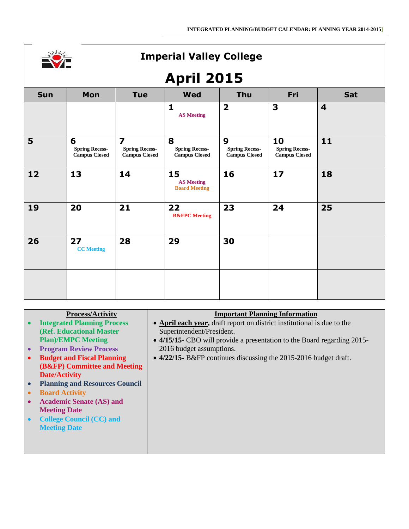|  | r. |
|--|----|
|  |    |
|  |    |
|  |    |

# **April 2015**

|            | APUL EATS                                          |                                                                 |                                                    |                                                                   |                                                     |                         |
|------------|----------------------------------------------------|-----------------------------------------------------------------|----------------------------------------------------|-------------------------------------------------------------------|-----------------------------------------------------|-------------------------|
| <b>Sun</b> | Mon                                                | <b>Tue</b>                                                      | <b>Wed</b>                                         | <b>Thu</b>                                                        | Fri                                                 | Sat                     |
|            |                                                    |                                                                 | $\mathbf{1}$<br><b>AS Meeting</b>                  | $\overline{\mathbf{2}}$                                           | $\mathbf{3}$                                        | $\overline{\mathbf{4}}$ |
| 5          | 6<br><b>Spring Recess-</b><br><b>Campus Closed</b> | $\overline{z}$<br><b>Spring Recess-</b><br><b>Campus Closed</b> | 8<br><b>Spring Recess-</b><br><b>Campus Closed</b> | $\boldsymbol{9}$<br><b>Spring Recess-</b><br><b>Campus Closed</b> | 10<br><b>Spring Recess-</b><br><b>Campus Closed</b> | 11                      |
| 12         | 13                                                 | 14                                                              | 15<br><b>AS Meeting</b><br><b>Board Meeting</b>    | 16                                                                | 17                                                  | 18                      |
| 19         | 20                                                 | 21                                                              | 22<br><b>B&amp;FPC</b> Meeting                     | 23                                                                | 24                                                  | 25                      |
| 26         | 27<br><b>CC</b> Meeting                            | 28                                                              | 29                                                 | 30                                                                |                                                     |                         |
|            |                                                    |                                                                 |                                                    |                                                                   |                                                     |                         |

#### **Process/Activity**

- **Integrated Planning Process (Ref. Educational Master Plan)/EMPC Meeting**
- **Program Review Process**
- **Budget and Fiscal Planning (B&FP) Committee and Meeting Date/Activity**
- **Planning and Resources Council**
- **Board Activity**
- **Academic Senate (AS) and Meeting Date**
- **College Council (CC) and Meeting Date**

#### **Important Planning Information**

- **April each year,** draft report on district institutional is due to the Superintendent/President.
- **4/15/15-** CBO will provide a presentation to the Board regarding 2015- 2016 budget assumptions.
- **4/22/15-** B&FP continues discussing the 2015-2016 budget draft.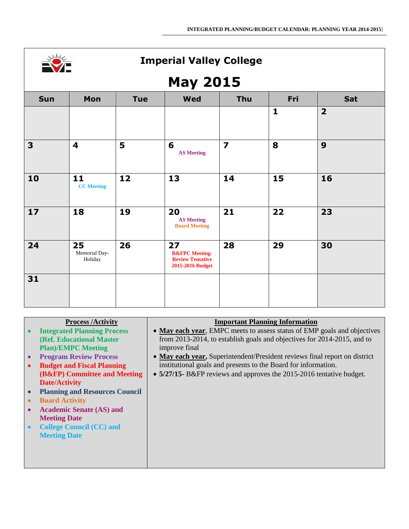

## **May 2015**

|              | .                              |            |                                                                                |                         |              |                |
|--------------|--------------------------------|------------|--------------------------------------------------------------------------------|-------------------------|--------------|----------------|
| Sun          | Mon                            | <b>Tue</b> | <b>Wed</b>                                                                     | Thu                     | Fri          | Sat            |
|              |                                |            |                                                                                |                         | $\mathbf{1}$ | $\overline{2}$ |
| $\mathbf{3}$ | $\overline{\mathbf{4}}$        | 5          | 6<br><b>AS Meeting</b>                                                         | $\overline{\mathbf{z}}$ | 8            | 9              |
| 10           | 11<br><b>CC</b> Meeting        | 12         | 13                                                                             | 14                      | 15           | 16             |
| $17$         | 18                             | 19         | 20<br><b>AS Meeting</b><br><b>Board Meeting</b>                                | 21                      | 22           | 23             |
| 24           | 25<br>Memorial Day-<br>Holiday | 26         | 27<br><b>B&amp;FPC</b> Meeting-<br><b>Review Tentative</b><br>2015-2016 Budget | 28                      | 29           | 30             |
| 31           |                                |            |                                                                                |                         |              |                |

| <b>Process /Activity</b>              | <b>Important Planning Information</b>                                      |
|---------------------------------------|----------------------------------------------------------------------------|
| <b>Integrated Planning Process</b>    | • May each year, EMPC meets to assess status of EMP goals and objectives   |
| (Ref. Educational Master              | from 2013-2014, to establish goals and objectives for 2014-2015, and to    |
| <b>Plan)/EMPC Meeting</b>             | improve final                                                              |
| <b>Program Review Process</b>         | • May each year, Superintendent/President reviews final report on district |
| <b>Budget and Fiscal Planning</b>     | institutional goals and presents to the Board for information.             |
| (B&FP) Committee and Meeting          | • 5/27/15 B&FP reviews and approves the 2015-2016 tentative budget.        |
| <b>Date/Activity</b>                  |                                                                            |
| <b>Planning and Resources Council</b> |                                                                            |
| <b>Board Activity</b>                 |                                                                            |
| <b>Academic Senate (AS) and</b>       |                                                                            |
| <b>Meeting Date</b>                   |                                                                            |
| <b>College Council (CC) and</b>       |                                                                            |
| <b>Meeting Date</b>                   |                                                                            |
|                                       |                                                                            |
|                                       |                                                                            |
|                                       |                                                                            |